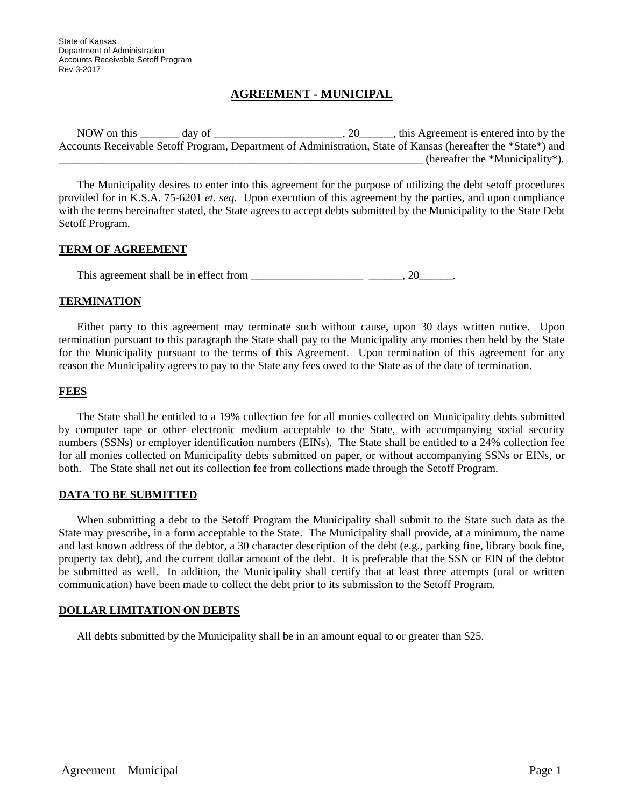# **AGREEMENT - MUNICIPAL**

NOW on this \_\_\_\_\_\_\_ day of \_\_\_\_\_\_\_\_\_\_\_\_\_\_\_\_\_\_\_\_\_, 20\_\_\_\_\_\_, this Agreement is entered into by the Accounts Receivable Setoff Program, Department of Administration, State of Kansas (hereafter the \*State\*) and  $\frac{1}{\sqrt{2\pi}}$  (hereafter the \*Municipality\*).

The Municipality desires to enter into this agreement for the purpose of utilizing the debt setoff procedures provided for in K.S.A. 75-6201 *et. seq*. Upon execution of this agreement by the parties, and upon compliance with the terms hereinafter stated, the State agrees to accept debts submitted by the Municipality to the State Debt Setoff Program.

## **TERM OF AGREEMENT**

This agreement shall be in effect from \_\_\_\_\_\_\_\_\_\_\_\_\_\_\_\_\_\_\_\_ \_\_\_\_\_\_, 20\_\_\_\_\_\_.

### **TERMINATION**

Either party to this agreement may terminate such without cause, upon 30 days written notice. Upon termination pursuant to this paragraph the State shall pay to the Municipality any monies then held by the State for the Municipality pursuant to the terms of this Agreement. Upon termination of this agreement for any reason the Municipality agrees to pay to the State any fees owed to the State as of the date of termination.

## **FEES**

The State shall be entitled to a 19% collection fee for all monies collected on Municipality debts submitted by computer tape or other electronic medium acceptable to the State, with accompanying social security numbers (SSNs) or employer identification numbers (EINs). The State shall be entitled to a 24% collection fee for all monies collected on Municipality debts submitted on paper, or without accompanying SSNs or EINs, or both. The State shall net out its collection fee from collections made through the Setoff Program.

#### **DATA TO BE SUBMITTED**

When submitting a debt to the Setoff Program the Municipality shall submit to the State such data as the State may prescribe, in a form acceptable to the State. The Municipality shall provide, at a minimum, the name and last known address of the debtor, a 30 character description of the debt (e.g., parking fine, library book fine, property tax debt), and the current dollar amount of the debt. It is preferable that the SSN or EIN of the debtor be submitted as well. In addition, the Municipality shall certify that at least three attempts (oral or written communication) have been made to collect the debt prior to its submission to the Setoff Program.

## **DOLLAR LIMITATION ON DEBTS**

All debts submitted by the Municipality shall be in an amount equal to or greater than \$25.